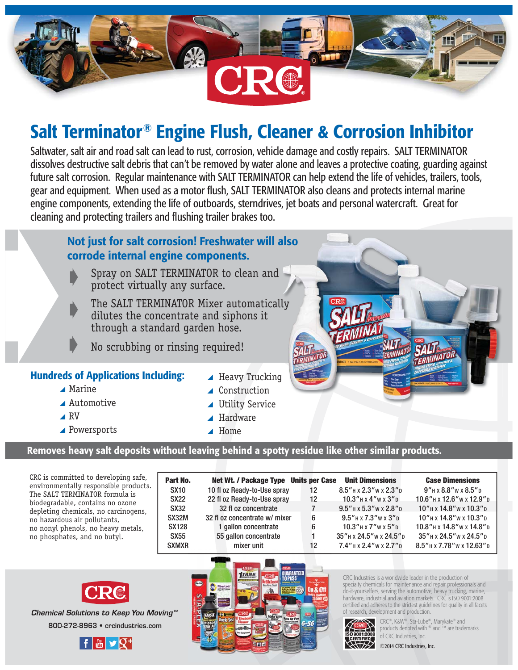

# **Salt Terminator® Engine Flush, Cleaner & Corrosion Inhibitor**

Saltwater, salt air and road salt can lead to rust, corrosion, vehicle damage and costly repairs. SALT TERMINATOR dissolves destructive salt debris that can't be removed by water alone and leaves a protective coating, guarding against future salt corrosion. Regular maintenance with SALT TERMINATOR can help extend the life of vehicles, trailers, tools, gear and equipment. When used as a motor flush, SALT TERMINATOR also cleans and protects internal marine engine components, extending the life of outboards, sterndrives, jet boats and personal watercraft. Great for cleaning and protecting trailers and flushing trailer brakes too.

#### **Not just for salt corrosion! Freshwater will also corrode internal engine components.**

 Spray on SALT TERMINATOR to clean and protect virtually any surface.

The SALT TERMINATOR Mixer automatically dilutes the concentrate and siphons it through a standard garden hose.

No scrubbing or rinsing required!

#### **Hundreds of Applications Including:**

- $\blacktriangle$  Marine
- \ Automotive
- $\triangle$  RV
- ▲ Powersports
- $\blacktriangle$  Heavy Trucking
- ▲ Construction
- ▲ Utility Service
- $\blacktriangle$  Hardware
- $\blacktriangle$  Home

#### **Removes heavy salt deposits without leaving behind a spotty residue like other similar products.**

CRC is committed to developing safe, environmentally responsible products. The SALT TERMINATOR formula is biodegradable, contains no ozone depleting chemicals, no carcinogens, no hazardous air pollutants, no nonyl phenols, no heavy metals, no phosphates, and no butyl.

| Part No.     | Net Wt. / Package Type Units per Case |    | <b>Unit Dimensions</b>            | <b>Case Dimensions</b>          |
|--------------|---------------------------------------|----|-----------------------------------|---------------------------------|
| <b>SX10</b>  | 10 fl oz Ready-to-Use spray           | 12 | $8.5''$ H x $2.3''$ W x $2.3''$ D | $9''$ H x $8.8''$ W x $8.5''$ D |
| <b>SX22</b>  | 22 fl oz Ready-to-Use spray           | 12 | $10.3''$ H x $4''$ W x $3''$ D    | 10.6" н х 12.6" w х 12.9" р     |
| SX32         | 32 fl oz concentrate                  | 7  | $9.5''$ н х $5.3''$ w х $2.8''$ D | 10" H x 14.8" w x 10.3" p       |
| SX32M        | 32 fl oz concentrate w/ mixer         | 6  | $9.5''$ H x $7.3''$ W x $3''$ D   | $10"$ H x $14.8"$ W x $10.3"$ D |
| <b>SX128</b> | 1 gallon concentrate                  | 6  | $10.3''$ H x $7''$ W x $5''$ D    | 10.8" H x 14.8" w x 14.8" p     |
| SX55         | 55 gallon concentrate                 |    | 35" H x 24.5" w x 24.5" p         | 35" H x 24.5" w x 24.5" D       |
| <b>SXMXR</b> | mixer unit                            | 12 | $7.4''$ н х 2.4" w х 2.7" р       | 8.5" H x 7.78" w x 12.63" D     |
|              |                                       |    |                                   |                                 |



800-272-8963 · crcindustries.com **Chemical Solutions to Keep You Moving™** 





CRC Industries is a worldwide leader in the production of specialty chemicals for maintenance and repair professionals and do-it-yourselfers, serving the automotive, heavy trucking, marine, hardware, industrial and aviation markets. CRC is ISO 9001:2008 certified and adheres to the strictest guidelines for quality in all facets of research, development and production.



CRC®, K&W®, Sta-Lube®, Marykate® and<br> **POO1:2008**<br>
COC L. L. Little Little Mary are trade products denoted with ® and ™ are trademarks of CRC Industries, Inc.

©2014 CRC Industries, Inc.